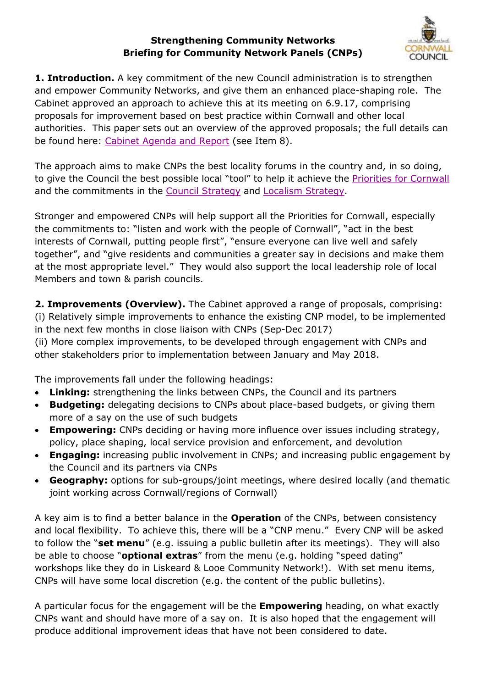## **Strengthening Community Networks Briefing for Community Network Panels (CNPs)**



**1. Introduction.** A key commitment of the new Council administration is to strengthen and empower Community Networks, and give them an enhanced place-shaping role. The Cabinet approved an approach to achieve this at its meeting on 6.9.17, comprising proposals for improvement based on best practice within Cornwall and other local authorities. This paper sets out an overview of the approved proposals; the full details can be found here: [Cabinet Agenda and Report](https://democracy.cornwall.gov.uk/ieListDocuments.aspx?CId=577&MId=7623&Ver=4) (see Item 8).

The approach aims to make CNPs the best locality forums in the country and, in so doing, to give the Council the best possible local "tool" to help it achieve the **Priorities for Cornwall** and the commitments in the [Council Strategy](https://www.cornwall.gov.uk/media/17976617/cc-strategy-2016.pdf) and [Localism Strategy.](http://www.cornwall.gov.uk/media/17937404/localism-strategy-2016.pdf)

Stronger and empowered CNPs will help support all the Priorities for Cornwall, especially the commitments to: "listen and work with the people of Cornwall", "act in the best interests of Cornwall, putting people first", "ensure everyone can live well and safely together", and "give residents and communities a greater say in decisions and make them at the most appropriate level." They would also support the local leadership role of local Members and town & parish councils.

**2. Improvements (Overview).** The Cabinet approved a range of proposals, comprising: (i) Relatively simple improvements to enhance the existing CNP model, to be implemented in the next few months in close liaison with CNPs (Sep-Dec 2017)

(ii) More complex improvements, to be developed through engagement with CNPs and other stakeholders prior to implementation between January and May 2018.

The improvements fall under the following headings:

- **Linking:** strengthening the links between CNPs, the Council and its partners
- **Budgeting:** delegating decisions to CNPs about place-based budgets, or giving them more of a say on the use of such budgets
- **Empowering:** CNPs deciding or having more influence over issues including strategy, policy, place shaping, local service provision and enforcement, and devolution
- **Engaging:** increasing public involvement in CNPs; and increasing public engagement by the Council and its partners via CNPs
- **Geography:** options for sub-groups/joint meetings, where desired locally (and thematic joint working across Cornwall/regions of Cornwall)

A key aim is to find a better balance in the **Operation** of the CNPs, between consistency and local flexibility. To achieve this, there will be a "CNP menu." Every CNP will be asked to follow the "**set menu**" (e.g. issuing a public bulletin after its meetings). They will also be able to choose "**optional extras**" from the menu (e.g. holding "speed dating" workshops like they do in Liskeard & Looe Community Network!). With set menu items, CNPs will have some local discretion (e.g. the content of the public bulletins).

A particular focus for the engagement will be the **Empowering** heading, on what exactly CNPs want and should have more of a say on. It is also hoped that the engagement will produce additional improvement ideas that have not been considered to date.